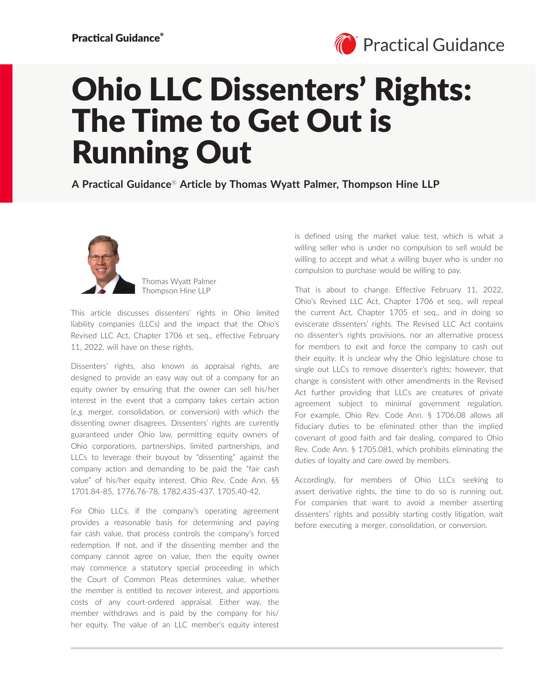

## Ohio LLC Dissenters' Rights: The Time to Get Out is Running Out

**A Practical Guidance**® **Article by Thomas Wyatt Palmer, Thompson Hine LLP**



Thomas Wyatt Palmer Thompson Hine LLP

This article discusses dissenters' rights in Ohio limited liability companies (LLCs) and the impact that the Ohio's Revised LLC Act, Chapter 1706 et seq., effective February 11, 2022, will have on these rights.

Dissenters' rights, also known as appraisal rights, are designed to provide an easy way out of a company for an equity owner by ensuring that the owner can sell his/her interest in the event that a company takes certain action (*e.g.* merger, consolidation, or conversion) with which the dissenting owner disagrees. Dissenters' rights are currently guaranteed under Ohio law, permitting equity owners of Ohio corporations, partnerships, limited partnerships, and LLCs to leverage their buyout by "dissenting" against the company action and demanding to be paid the "fair cash value" of his/her equity interest. Ohio Rev. Code Ann. §§ 1701.84-85, 1776.76-78, 1782.435-437, 1705.40-42.

For Ohio LLCs, if the company's operating agreement provides a reasonable basis for determining and paying fair cash value, that process controls the company's forced redemption. If not, and if the dissenting member and the company cannot agree on value, then the equity owner may commence a statutory special proceeding in which the Court of Common Pleas determines value, whether the member is entitled to recover interest, and apportions costs of any court-ordered appraisal. Either way, the member withdraws and is paid by the company for his/ her equity. The value of an LLC member's equity interest

is defined using the market value test, which is what a willing seller who is under no compulsion to sell would be willing to accept and what a willing buyer who is under no compulsion to purchase would be willing to pay.

That is about to change. Effective February 11, 2022, Ohio's Revised LLC Act, Chapter 1706 et seq., will repeal the current Act, Chapter 1705 et seq., and in doing so eviscerate dissenters' rights. The Revised LLC Act contains no dissenter's rights provisions, nor an alternative process for members to exit and force the company to cash out their equity. It is unclear why the Ohio legislature chose to single out LLCs to remove dissenter's rights; however, that change is consistent with other amendments in the Revised Act further providing that LLCs are creatures of private agreement subject to minimal government regulation. For example, Ohio Rev. Code Ann. § 1706.08 allows all fiduciary duties to be eliminated other than the implied covenant of good faith and fair dealing, compared to Ohio Rev. Code Ann. § 1705.081, which prohibits eliminating the duties of loyalty and care owed by members.

Accordingly, for members of Ohio LLCs seeking to assert derivative rights, the time to do so is running out. For companies that want to avoid a member asserting dissenters' rights and possibly starting costly litigation, wait before executing a merger, consolidation, or conversion.